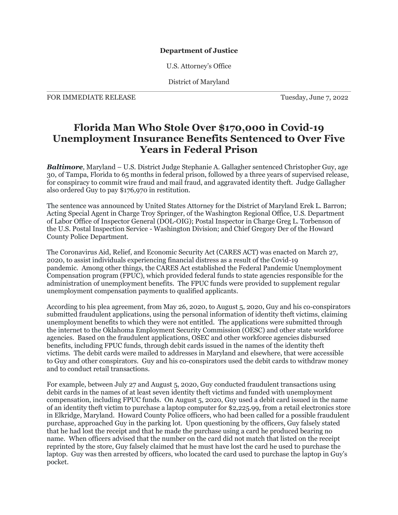## **Department of Justice**

U.S. Attorney's Office

District of Maryland

FOR IMMEDIATE RELEASE TUESDAY, June 7, 2022

## **Florida Man Who Stole Over \$170,000 in Covid-19 Unemployment Insurance Benefits Sentenced to Over Five Years in Federal Prison**

*Baltimore,* Maryland – U.S. District Judge Stephanie A. Gallagher sentenced Christopher Guy, age 30, of Tampa, Florida to 65 months in federal prison, followed by a three years of supervised release, for conspiracy to commit wire fraud and mail fraud, and aggravated identity theft. Judge Gallagher also ordered Guy to pay \$176,970 in restitution.

The sentence was announced by United States Attorney for the District of Maryland Erek L. Barron; Acting Special Agent in Charge Troy Springer, of the Washington Regional Office, U.S. Department of Labor Office of Inspector General (DOL-OIG); Postal Inspector in Charge Greg L. Torbenson of the U.S. Postal Inspection Service - Washington Division; and Chief Gregory Der of the Howard County Police Department.

The Coronavirus Aid, Relief, and Economic Security Act (CARES ACT) was enacted on March 27, 2020, to assist individuals experiencing financial distress as a result of the Covid-19 pandemic. Among other things, the CARES Act established the Federal Pandemic Unemployment Compensation program (FPUC), which provided federal funds to state agencies responsible for the administration of unemployment benefits. The FPUC funds were provided to supplement regular unemployment compensation payments to qualified applicants.

According to his plea agreement, from May 26, 2020, to August 5, 2020, Guy and his co-conspirators submitted fraudulent applications, using the personal information of identity theft victims, claiming unemployment benefits to which they were not entitled. The applications were submitted through the internet to the Oklahoma Employment Security Commission (OESC) and other state workforce agencies. Based on the fraudulent applications, OSEC and other workforce agencies disbursed benefits, including FPUC funds, through debit cards issued in the names of the identity theft victims. The debit cards were mailed to addresses in Maryland and elsewhere, that were accessible to Guy and other conspirators. Guy and his co-conspirators used the debit cards to withdraw money and to conduct retail transactions.

For example, between July 27 and August 5, 2020, Guy conducted fraudulent transactions using debit cards in the names of at least seven identity theft victims and funded with unemployment compensation, including FPUC funds. On August 5, 2020, Guy used a debit card issued in the name of an identity theft victim to purchase a laptop computer for \$2,225.99, from a retail electronics store in Elkridge, Maryland. Howard County Police officers, who had been called for a possible fraudulent purchase, approached Guy in the parking lot. Upon questioning by the officers, Guy falsely stated that he had lost the receipt and that he made the purchase using a card he produced bearing no name. When officers advised that the number on the card did not match that listed on the receipt reprinted by the store, Guy falsely claimed that he must have lost the card he used to purchase the laptop. Guy was then arrested by officers, who located the card used to purchase the laptop in Guy's pocket.